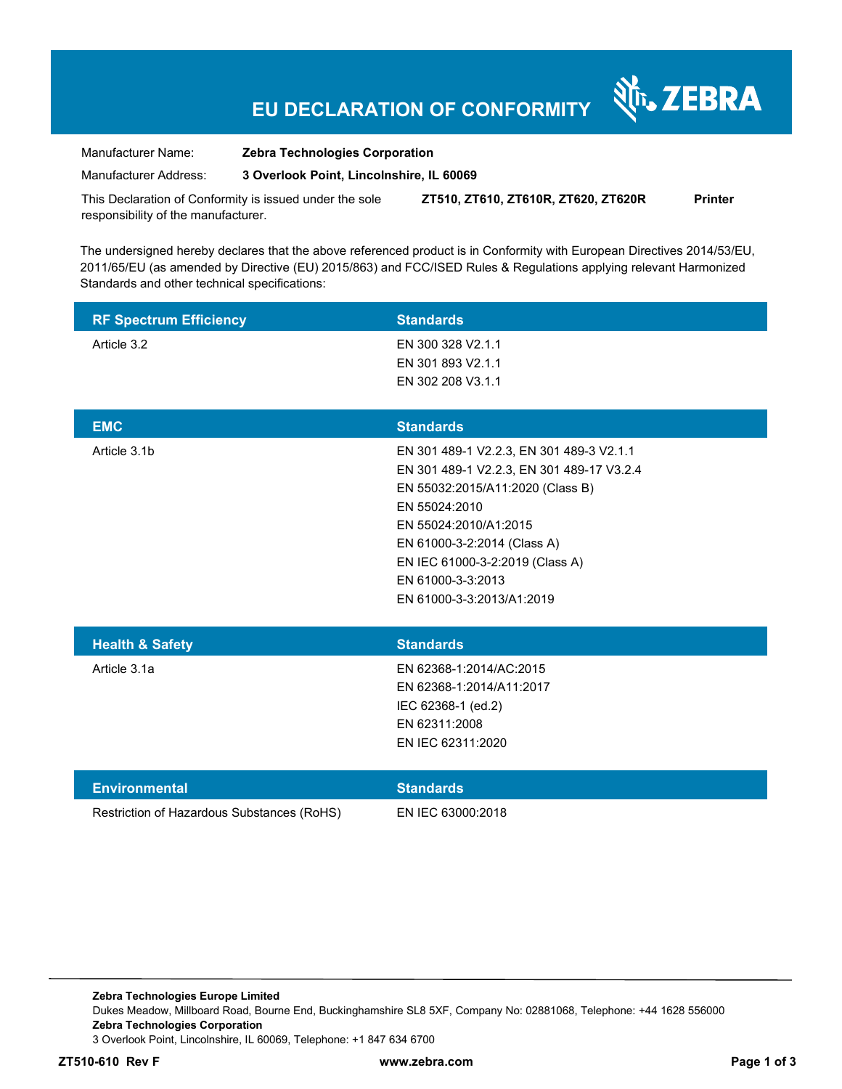# **EU DECLARATION OF CONFORMITY**

र्शे<sub>ं</sub> ZEBRA

Manufacturer Name: **Zebra Technologies Corporation** 

Manufacturer Address: **3 Overlook Point, Lincolnshire, IL 60069** 

This Declaration of Conformity is issued under the sole responsibility of the manufacturer. **ZT510, ZT610, ZT610R, ZT620, ZT620R Printer** 

The undersigned hereby declares that the above referenced product is in Conformity with European Directives 2014/53/EU, 2011/65/EU (as amended by Directive (EU) 2015/863) and FCC/ISED Rules & Regulations applying relevant Harmonized Standards and other technical specifications:

| <b>RF Spectrum Efficiency</b>              | <b>Standards</b>                                                                                                                                                                                                                                                                        |
|--------------------------------------------|-----------------------------------------------------------------------------------------------------------------------------------------------------------------------------------------------------------------------------------------------------------------------------------------|
| Article 3.2                                | EN 300 328 V2.1.1<br>EN 301 893 V2.1.1<br>EN 302 208 V3.1.1                                                                                                                                                                                                                             |
| <b>EMC</b>                                 | <b>Standards</b>                                                                                                                                                                                                                                                                        |
| Article 3.1b                               | EN 301 489-1 V2.2.3, EN 301 489-3 V2.1.1<br>EN 301 489-1 V2.2.3, EN 301 489-17 V3.2.4<br>EN 55032:2015/A11:2020 (Class B)<br>EN 55024:2010<br>EN 55024:2010/A1:2015<br>EN 61000-3-2:2014 (Class A)<br>EN IEC 61000-3-2:2019 (Class A)<br>EN 61000-3-3:2013<br>EN 61000-3-3:2013/A1:2019 |
| <b>Health &amp; Safety</b>                 | <b>Standards</b>                                                                                                                                                                                                                                                                        |
| Article 3.1a                               | EN 62368-1:2014/AC:2015<br>EN 62368-1:2014/A11:2017<br>IEC 62368-1 (ed.2)<br>EN 62311:2008<br>EN IEC 62311:2020                                                                                                                                                                         |
| <b>Environmental</b>                       | <b>Standards</b>                                                                                                                                                                                                                                                                        |
| Restriction of Hazardous Substances (RoHS) | EN IEC 63000:2018                                                                                                                                                                                                                                                                       |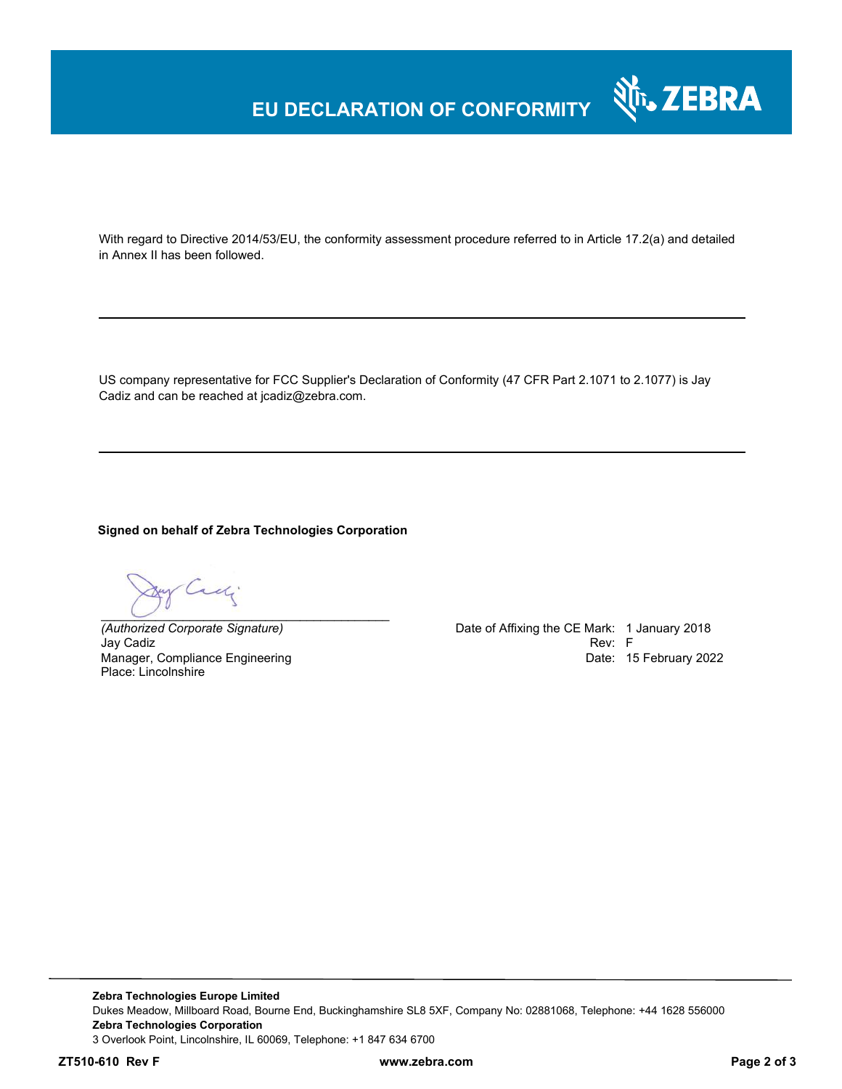### **EU DECLARATION OF CONFORMITY**

With regard to Directive 2014/53/EU, the conformity assessment procedure referred to in Article 17.2(a) and detailed in Annex II has been followed.

US company representative for FCC Supplier's Declaration of Conformity (47 CFR Part 2.1071 to 2.1077) is Jay Cadiz and can be reached at jcadiz@zebra.com.

**Signed on behalf of Zebra Technologies Corporation** 

Cady *\_\_\_\_\_\_\_\_\_\_\_\_\_\_\_\_\_\_\_\_\_\_\_\_\_\_\_\_\_\_\_\_\_\_\_\_\_\_\_\_\_\_*

Jay Cadiz Rev: F Manager, Compliance Engineering Place: Lincolnshire

*(Authorized Corporate Signature)* Date of Affixing the CE Mark: 1 January 2018 Date: 15 February 2022

र्शे<sub>ि</sub> ZEBRA

**Zebra Technologies Europe Limited**  Dukes Meadow, Millboard Road, Bourne End, Buckinghamshire SL8 5XF, Company No: 02881068, Telephone: +44 1628 556000 **Zebra Technologies Corporation**  3 Overlook Point, Lincolnshire, IL 60069, Telephone: +1 847 634 6700